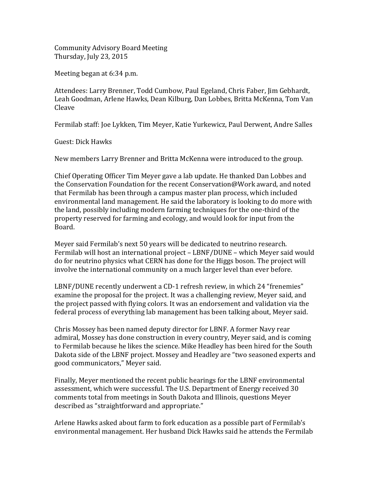Community Advisory Board Meeting Thursday, July 23, 2015

Meeting began at 6:34 p.m.

Attendees: Larry Brenner, Todd Cumbow, Paul Egeland, Chris Faber, Jim Gebhardt, Leah Goodman, Arlene Hawks, Dean Kilburg, Dan Lobbes, Britta McKenna, Tom Van Cleave

Fermilab staff: Joe Lykken, Tim Meyer, Katie Yurkewicz, Paul Derwent, Andre Salles

Guest: Dick Hawks

New members Larry Brenner and Britta McKenna were introduced to the group.

Chief Operating Officer Tim Meyer gave a lab update. He thanked Dan Lobbes and the Conservation Foundation for the recent Conservation@Work award, and noted that Fermilab has been through a campus master plan process, which included environmental land management. He said the laboratory is looking to do more with the land, possibly including modern farming techniques for the one-third of the property reserved for farming and ecology, and would look for input from the Board.

Meyer said Fermilab's next 50 years will be dedicated to neutrino research. Fermilab will host an international project – LBNF/DUNE – which Meyer said would do for neutrino physics what CERN has done for the Higgs boson. The project will involve the international community on a much larger level than ever before.

LBNF/DUNE recently underwent a CD-1 refresh review, in which 24 "frenemies" examine the proposal for the project. It was a challenging review, Meyer said, and the project passed with flying colors. It was an endorsement and validation via the federal process of everything lab management has been talking about, Meyer said.

Chris Mossey has been named deputy director for LBNF. A former Navy rear admiral, Mossey has done construction in every country, Meyer said, and is coming to Fermilab because he likes the science. Mike Headley has been hired for the South Dakota side of the LBNF project. Mossey and Headley are "two seasoned experts and good communicators," Meyer said.

Finally, Meyer mentioned the recent public hearings for the LBNF environmental assessment, which were successful. The U.S. Department of Energy received 30 comments total from meetings in South Dakota and Illinois, questions Meyer described as "straightforward and appropriate."

Arlene Hawks asked about farm to fork education as a possible part of Fermilab's environmental management. Her husband Dick Hawks said he attends the Fermilab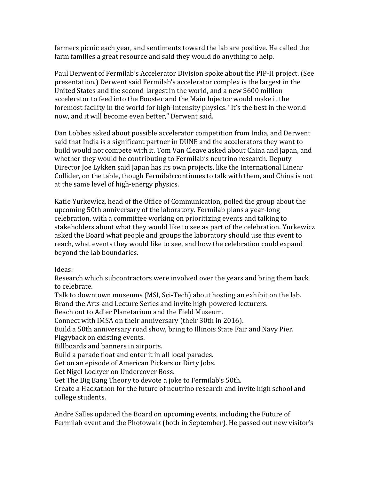farmers picnic each year, and sentiments toward the lab are positive. He called the farm families a great resource and said they would do anything to help.

Paul Derwent of Fermilab's Accelerator Division spoke about the PIP-II project. (See presentation.) Derwent said Fermilab's accelerator complex is the largest in the United States and the second-largest in the world, and a new \$600 million accelerator to feed into the Booster and the Main Injector would make it the foremost facility in the world for high-intensity physics. "It's the best in the world now, and it will become even better," Derwent said.

Dan Lobbes asked about possible accelerator competition from India, and Derwent said that India is a significant partner in DUNE and the accelerators they want to build would not compete with it. Tom Van Cleave asked about China and Japan, and whether they would be contributing to Fermilab's neutrino research. Deputy Director Joe Lykken said Japan has its own projects, like the International Linear Collider, on the table, though Fermilab continues to talk with them, and China is not at the same level of high-energy physics.

Katie Yurkewicz, head of the Office of Communication, polled the group about the upcoming 50th anniversary of the laboratory. Fermilab plans a year-long celebration, with a committee working on prioritizing events and talking to stakeholders about what they would like to see as part of the celebration. Yurkewicz asked the Board what people and groups the laboratory should use this event to reach, what events they would like to see, and how the celebration could expand beyond the lab boundaries.

Ideas:

Research which subcontractors were involved over the years and bring them back to celebrate.

Talk to downtown museums (MSI, Sci-Tech) about hosting an exhibit on the lab. Brand the Arts and Lecture Series and invite high-powered lecturers. Reach out to Adler Planetarium and the Field Museum. Connect with IMSA on their anniversary (their 30th in 2016). Build a 50th anniversary road show, bring to Illinois State Fair and Navy Pier. Piggyback on existing events. Billboards and banners in airports. Build a parade float and enter it in all local parades. Get on an episode of American Pickers or Dirty Jobs. Get Nigel Lockyer on Undercover Boss. Get The Big Bang Theory to devote a joke to Fermilab's 50th. Create a Hackathon for the future of neutrino research and invite high school and college students.

Andre Salles updated the Board on upcoming events, including the Future of Fermilab event and the Photowalk (both in September). He passed out new visitor's